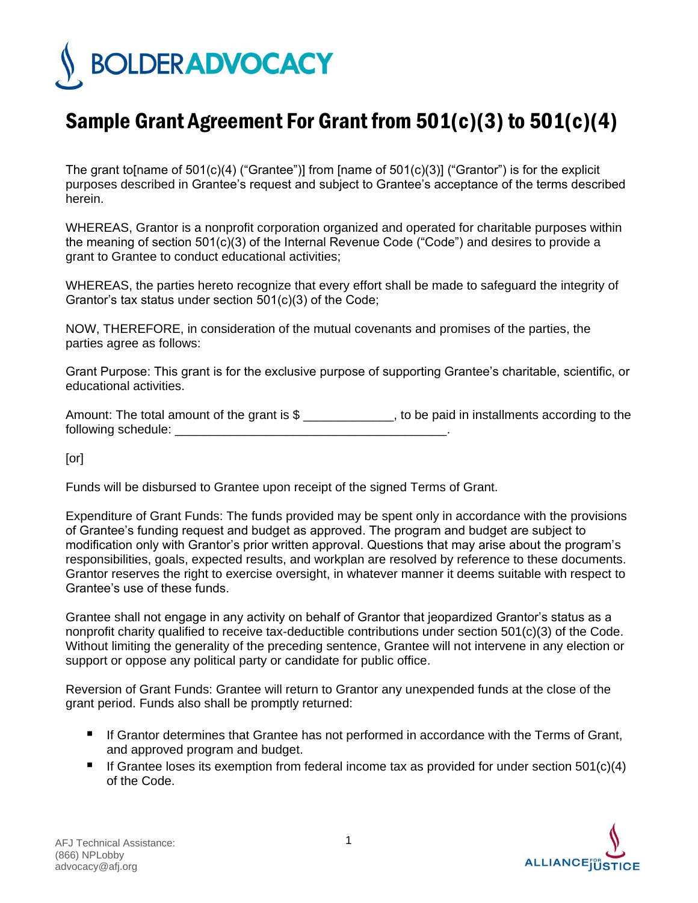

## Sample Grant Agreement For Grant from 501(c)(3) to 501(c)(4)

The grant to [name of  $501(c)(4)$  ("Grantee")] from [name of  $501(c)(3)$ ] ("Grantor") is for the explicit purposes described in Grantee's request and subject to Grantee's acceptance of the terms described herein.

WHEREAS, Grantor is a nonprofit corporation organized and operated for charitable purposes within the meaning of section 501(c)(3) of the Internal Revenue Code ("Code") and desires to provide a grant to Grantee to conduct educational activities;

WHEREAS, the parties hereto recognize that every effort shall be made to safeguard the integrity of Grantor's tax status under section 501(c)(3) of the Code;

NOW, THEREFORE, in consideration of the mutual covenants and promises of the parties, the parties agree as follows:

Grant Purpose: This grant is for the exclusive purpose of supporting Grantee's charitable, scientific, or educational activities.

Amount: The total amount of the grant is \$ \_\_\_\_\_\_\_\_\_\_\_\_\_, to be paid in installments according to the following schedule:  $\blacksquare$ 

[or]

Funds will be disbursed to Grantee upon receipt of the signed Terms of Grant.

Expenditure of Grant Funds: The funds provided may be spent only in accordance with the provisions of Grantee's funding request and budget as approved. The program and budget are subject to modification only with Grantor's prior written approval. Questions that may arise about the program's responsibilities, goals, expected results, and workplan are resolved by reference to these documents. Grantor reserves the right to exercise oversight, in whatever manner it deems suitable with respect to Grantee's use of these funds.

Grantee shall not engage in any activity on behalf of Grantor that jeopardized Grantor's status as a nonprofit charity qualified to receive tax-deductible contributions under section 501(c)(3) of the Code. Without limiting the generality of the preceding sentence, Grantee will not intervene in any election or support or oppose any political party or candidate for public office.

Reversion of Grant Funds: Grantee will return to Grantor any unexpended funds at the close of the grant period. Funds also shall be promptly returned:

- If Grantor determines that Grantee has not performed in accordance with the Terms of Grant, and approved program and budget.
- If Grantee loses its exemption from federal income tax as provided for under section  $501(c)(4)$ of the Code.